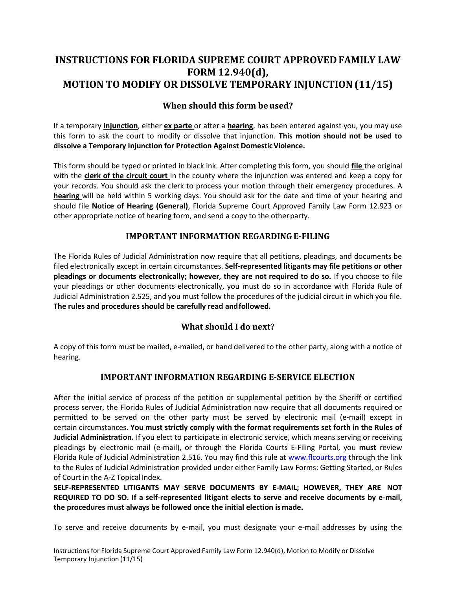# **INSTRUCTIONS FOR FLORIDA SUPREME COURT APPROVED FAMILY LAW FORM 12.940(d), MOTION TO MODIFY OR DISSOLVE TEMPORARY INJUNCTION (11/15)**

# **When should this form be used?**

 If a temporary **injunction**, either **ex parte** or after a **hearing**, has been entered against you, you may use this form to ask the court to modify or dissolve that injunction. **This motion should not be used to dissolve a Temporary Injunction for Protection Against Domestic Violence.** 

 This form should be typed or printed in black ink. After completing this form, you should **file** the original with the **clerk of the circuit court** in the county where the injunction was entered and keep a copy for your records. You should ask the clerk to process your motion through their emergency procedures. A **hearing** will be held within 5 working days. You should ask for the date and time of your hearing and  should file **Notice of Hearing (General)**, Florida Supreme Court Approved Family Law Form 12.923 or other appropriate notice of hearing form, and send a copy to the otherparty.

#### **IMPORTANT INFORMATION REGARDING E-FILING**

 The Florida Rules of Judicial Administration now require that all petitions, pleadings, and documents be filed electronically except in certain circumstances. **Self-represented litigants may file petitions or other pleadings or documents electronically; however, they are not required to do so.** If you choose to file your pleadings or other documents electronically, you must do so in accordance with Florida Rule of Judicial Administration 2.525, and you must follow the procedures of the judicial circuit in which you file.  **The rules and procedures should be carefully read andfollowed.** 

### **What should I do next?**

 A copy of this form must be mailed, e-mailed, or hand delivered to the other party, along with a notice of hearing.

### **IMPORTANT INFORMATION REGARDING E-SERVICE ELECTION**

 After the initial service of process of the petition or supplemental petition by the Sheriff or certified process server, the Florida Rules of Judicial Administration now require that all documents required or permitted to be served on the other party must be served by electronic mail (e-mail) except in  certain circumstances. **You must strictly comply with the format requirements set forth in the Rules of**  pleadings by electronic mail (e-mail), or through the Florida Courts E-Filing Portal, you **must** review Florida Rule of Judicial Administration 2.516. You may find this rule at [www.flcourts.org](http://www.flcourts.org/) through the link to the Rules of Judicial Administration provided under either Family Law Forms: Getting Started, or Rules of Court in the A-Z Topical Index. **Judicial Administration.** If you elect to participate in electronic service, which means serving or receiving

 **SELF-REPRESENTED LITIGANTS MAY SERVE DOCUMENTS BY E-MAIL; HOWEVER, THEY ARE NOT REQUIRED TO DO SO. If a self-represented litigant elects to serve and receive documents by e-mail, the procedures must always be followed once the initial election is made.** 

To serve and receive documents by e-mail, you must designate your e-mail addresses by using the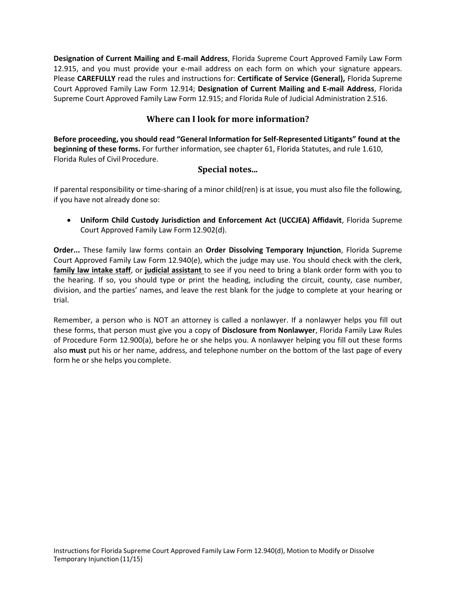**Designation of Current Mailing and E-mail Address**, Florida Supreme Court Approved Family Law Form 12.915, and you must provide your e-mail address on each form on which your signature appears. Please **CAREFULLY** read the rules and instructions for: **Certificate of Service (General),** Florida Supreme Court Approved Family Law Form 12.914; **Designation of Current Mailing and E-mail Address**, Florida Supreme Court Approved Family Law Form 12.915; and Florida Rule of Judicial Administration 2.516.

## **Where can I look for more information?**

 Florida Rules of Civil Procedure. **Before proceeding, you should read "General Information for Self-Represented Litigants" found at the beginning of these forms.** For further information, see chapter 61, Florida Statutes, and rule 1.610,

#### **Special notes...**

 if you have not already done so: If parental responsibility or time-sharing of a minor child(ren) is at issue, you must also file the following,

 **Uniform Child Custody Jurisdiction and Enforcement Act (UCCJEA) Affidavit**, Florida Supreme Court Approved Family Law Form 12.902(d).

 **Order...** These family law forms contain an **Order Dissolving Temporary Injunction**, Florida Supreme Court Approved Family Law Form 12.940(e), which the judge may use. You should check with the clerk,  **family law intake staff**, or **judicial assistant** to see if you need to bring a blank order form with you to the hearing. If so, you should type or print the heading, including the circuit, county, case number, division, and the parties' names, and leave the rest blank for the judge to complete at your hearing or trial.

trial.<br>Remember, a person who is NOT an attorney is called a nonlawyer. If a nonlawyer helps you fill out these forms, that person must give you a copy of **Disclosure from Nonlawyer**, Florida Family Law Rules of Procedure Form 12.900(a), before he or she helps you. A nonlawyer helping you fill out these forms also **must** put his or her name, address, and telephone number on the bottom of the last page of every form he or she helps you complete.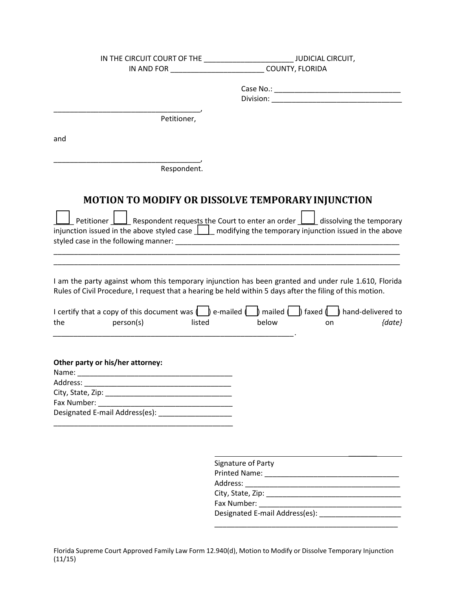|                                                                                               | IN THE CIRCUIT COURT OF THE _______________________________JUDICIAL CIRCUIT,                                                                                                                                                                                                                                             |  |  |
|-----------------------------------------------------------------------------------------------|--------------------------------------------------------------------------------------------------------------------------------------------------------------------------------------------------------------------------------------------------------------------------------------------------------------------------|--|--|
|                                                                                               | IN AND FOR COUNTY, FLORIDA                                                                                                                                                                                                                                                                                               |  |  |
|                                                                                               |                                                                                                                                                                                                                                                                                                                          |  |  |
|                                                                                               |                                                                                                                                                                                                                                                                                                                          |  |  |
| Petitioner,                                                                                   |                                                                                                                                                                                                                                                                                                                          |  |  |
| and                                                                                           |                                                                                                                                                                                                                                                                                                                          |  |  |
|                                                                                               |                                                                                                                                                                                                                                                                                                                          |  |  |
| Respondent.                                                                                   |                                                                                                                                                                                                                                                                                                                          |  |  |
|                                                                                               | <b>MOTION TO MODIFY OR DISSOLVE TEMPORARY INJUNCTION</b><br>Petitioner $\boxed{\underline{\qquad}}$ Respondent requests the Court to enter an order $\boxed{\phantom{\qquad}}$ dissolving the temporary<br>injunction issued in the above styled case $\bigsqcup$ modifying the temporary injunction issued in the above |  |  |
|                                                                                               | I am the party against whom this temporary injunction has been granted and under rule 1.610, Florida<br>Rules of Civil Procedure, I request that a hearing be held within 5 days after the filing of this motion.                                                                                                        |  |  |
| the<br>person(s)<br>listed                                                                    | I certify that a copy of this document was $\Box$ e-mailed $\Box$ mailed $\Box$ faxed $\Box$ hand-delivered to<br>below<br>${date}$<br>on                                                                                                                                                                                |  |  |
| Other party or his/her attorney:<br>Address:<br>Fax Number:<br>Designated E-mail Address(es): |                                                                                                                                                                                                                                                                                                                          |  |  |
|                                                                                               | Signature of Party                                                                                                                                                                                                                                                                                                       |  |  |

| <b>Printed Name:</b>           |
|--------------------------------|
| Address:                       |
| City, State, Zip:              |
| Fax Number:                    |
| Designated E-mail Address(es): |

\_\_\_\_\_\_\_\_\_\_\_\_\_\_\_\_\_\_\_\_\_\_\_\_\_\_\_\_\_\_\_\_\_\_\_\_\_\_\_\_\_\_\_\_\_